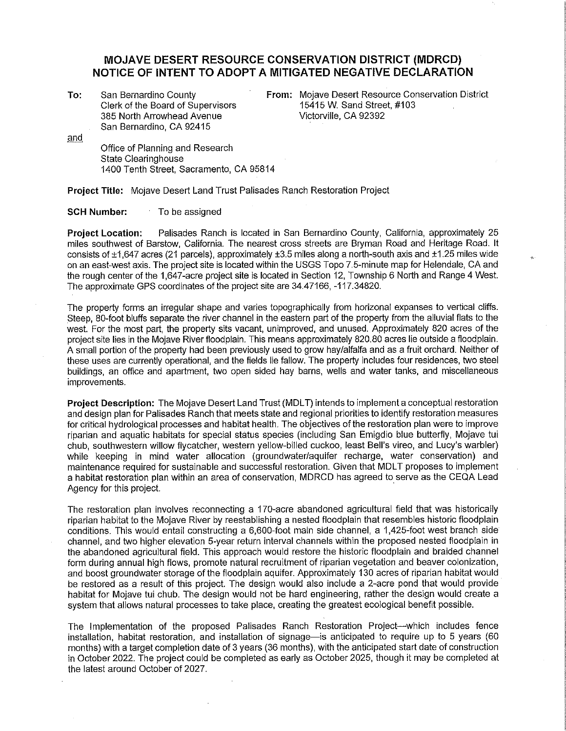## **MOJAVE DESERT RESOURCE CONSERVATION DISTRICT (MDRCD) NOTICE OF INTENT TO ADOPT A MITIGATED NEGATIVE DECLARATION**

**To:**  San Bernardino County Clerk of the Board of Supervisors 385 North Arrowhead Avenue San Bernardino, CA 92415

**From:** Mojave Desert Resource Conservation District 15415 W. Sand Street, #103 Victorville, CA 92392

and Office of Planning and Research State Clearinghouse 1400 Tenth Street, Sacramento, CA 95814

**Project Title:** Mojave Desert Land Trust Palisades Ranch Restoration Project

## **SCH Number:** To be assigned

**Project Location:** Palisades Ranch is located in San Bernardino County, California, approximately 25 miles southwest of Barstow, California. The nearest cross streets are Bryman Road and Heritage Road. It consists of ±1,647 acres (21 parcels), approximately ±3.5 miles along a north-south axis and ±1.25 miles wide on an east-west axis. The project site is located within the USGS Topo 7.5-minute map for Helendale, CA and the rough center of the 1,647-acre project site is located in Section 12, Township 6 North and Range 4 West. The approximate GPS coordinates of the project site are 34.47166, -117.34820.

The property forms an irregular shape and varies topographically from horizonal expanses to vertical cliffs. Steep, 80-foot bluffs separate the river channel in the eastern part of the property from the alluvial fiats to the west. For the most part, the property sits vacant, unimproved, and unused. Approximately 820 acres of the project site lies in the Mojave River fioodplain. This means approximately 820.80 acres lie outside a fioodplain. A small portion of the property had been previously used to grow hay/alfalfa and as a fruit orchard. Neither of these uses are currently operational, and the fields lie fallow. The property includes four residences, two steel buildings, an office and apartment, two open sided hay barns, wells and water tanks, and miscellaneous improvements.

**Project Description:** The Mojave Desert Land Trust (MDLT) intends to implement a conceptual restoration and design plan for Palisades Ranch that meets state and regional priorities to identify restoration measures for critical hydrological processes and habitat health. The objectives of the restoration plan were to improve riparian and aquatic habitats for special status species (including San Emigdio blue butterfly, Mojave tui chub, southwestern willow flycatcher, western yellow-billed cuckoo, least Bell's vireo, and Lucy's warbler) while keeping in mind water allocation (groundwater/aquifer recharge, water conservation) and maintenance required for sustainable and successful restoration. Given that MDLT proposes to implement a habitat restoration plan within an area of conservation, MDRCD has agreed to serve as the CEQA Lead Agency for this project.

The restoration plan involves reconnecting a 170-acre abandoned agricultural field that was historically riparian habitat to the Mojave River by reestablishing a nested floodplain that resembles historic floodplain conditions. This would entail constructing a 6,600-foot main side channel, a 1,425-foot west branch side channel, and two higher elevation 5-year return interval channels within the proposed nested floodplain in the abandoned agricultural field. This approach would restore the historic floodplain and braided channel form during annual high flows, promote natural recruitment of riparian vegetation and beaver colonization, and boost groundwater storage of the floodplain aquifer. Approximately 130 acres of riparian habitat would be restored as a result of this project. The design would also include a 2-acre pond that would provide habitat for Mojave tui chub. The design would not be hard engineering, rather the design would create a system that allows natural processes to take place, creating the greatest ecological benefit possible.

The Implementation of the proposed Palisades Ranch Restoration Project-which includes fence installation, habitat restoration, and installation of signage—is anticipated to require up to 5 years (60 months) with a target completion date of 3 years (36 months), with the anticipated start date of construction in October 2022. The project could be completed as early as October 2025, though it may be completed at the latest around October of 2027.